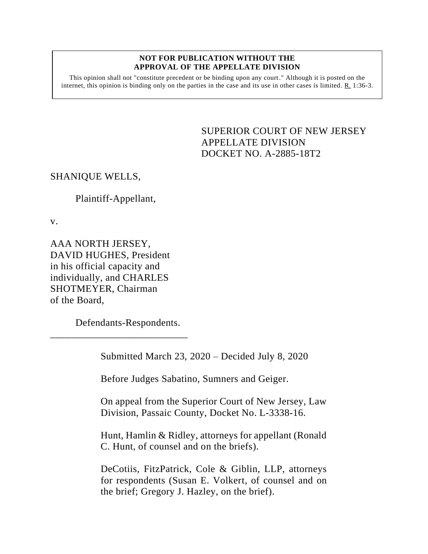#### **NOT FOR PUBLICATION WITHOUT THE APPROVAL OF THE APPELLATE DIVISION**

This opinion shall not "constitute precedent or be binding upon any court." Although it is posted on the internet, this opinion is binding only on the parties in the case and its use in other cases is limited.  $R_1$  1:36-3.

> SUPERIOR COURT OF NEW JERSEY APPELLATE DIVISION DOCKET NO. A-2885-18T2

# SHANIQUE WELLS,

## Plaintiff-Appellant,

v.

AAA NORTH JERSEY, DAVID HUGHES, President in his official capacity and individually, and CHARLES SHOTMEYER, Chairman of the Board,

Defendants-Respondents.

\_\_\_\_\_\_\_\_\_\_\_\_\_\_\_\_\_\_\_\_\_\_\_\_\_\_\_

Submitted March 23, 2020 – Decided July 8, 2020

Before Judges Sabatino, Sumners and Geiger.

On appeal from the Superior Court of New Jersey, Law Division, Passaic County, Docket No. L-3338-16.

Hunt, Hamlin & Ridley, attorneys for appellant (Ronald C. Hunt, of counsel and on the briefs).

DeCotiis, FitzPatrick, Cole & Giblin, LLP, attorneys for respondents (Susan E. Volkert, of counsel and on the brief; Gregory J. Hazley, on the brief).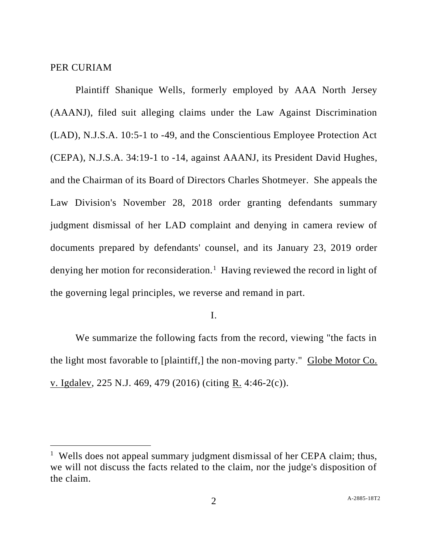#### PER CURIAM

Plaintiff Shanique Wells, formerly employed by AAA North Jersey (AAANJ), filed suit alleging claims under the Law Against Discrimination (LAD), N.J.S.A. 10:5-1 to -49, and the Conscientious Employee Protection Act (CEPA), N.J.S.A. 34:19-1 to -14, against AAANJ, its President David Hughes, and the Chairman of its Board of Directors Charles Shotmeyer. She appeals the Law Division's November 28, 2018 order granting defendants summary judgment dismissal of her LAD complaint and denying in camera review of documents prepared by defendants' counsel, and its January 23, 2019 order denying her motion for reconsideration.<sup>1</sup> Having reviewed the record in light of the governing legal principles, we reverse and remand in part.

I.

We summarize the following facts from the record, viewing "the facts in the light most favorable to [plaintiff,] the non-moving party." Globe Motor Co. v. Igdalev, 225 N.J. 469, 479 (2016) (citing R. 4:46-2(c)).

<sup>&</sup>lt;sup>1</sup> Wells does not appeal summary judgment dismissal of her CEPA claim; thus, we will not discuss the facts related to the claim, nor the judge's disposition of the claim.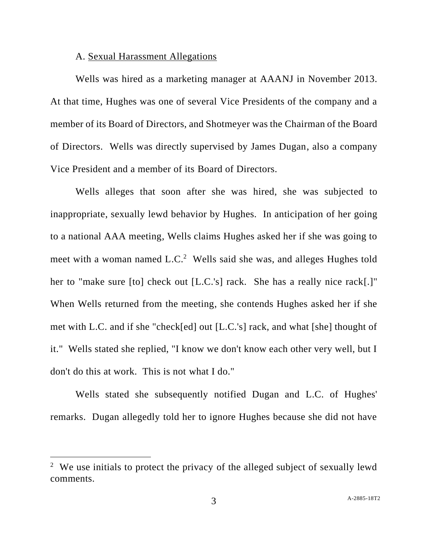#### A. Sexual Harassment Allegations

Wells was hired as a marketing manager at AAANJ in November 2013. At that time, Hughes was one of several Vice Presidents of the company and a member of its Board of Directors, and Shotmeyer was the Chairman of the Board of Directors. Wells was directly supervised by James Dugan, also a company Vice President and a member of its Board of Directors.

Wells alleges that soon after she was hired, she was subjected to inappropriate, sexually lewd behavior by Hughes. In anticipation of her going to a national AAA meeting, Wells claims Hughes asked her if she was going to meet with a woman named L.C.<sup>2</sup> Wells said she was, and alleges Hughes told her to "make sure [to] check out [L.C.'s] rack. She has a really nice rack[.]" When Wells returned from the meeting, she contends Hughes asked her if she met with L.C. and if she "check[ed] out [L.C.'s] rack, and what [she] thought of it." Wells stated she replied, "I know we don't know each other very well, but I don't do this at work. This is not what I do."

Wells stated she subsequently notified Dugan and L.C. of Hughes' remarks. Dugan allegedly told her to ignore Hughes because she did not have

<sup>&</sup>lt;sup>2</sup> We use initials to protect the privacy of the alleged subject of sexually lewd comments.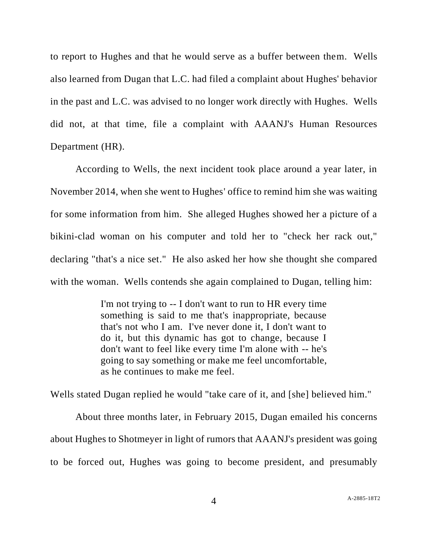to report to Hughes and that he would serve as a buffer between them. Wells also learned from Dugan that L.C. had filed a complaint about Hughes' behavior in the past and L.C. was advised to no longer work directly with Hughes. Wells did not, at that time, file a complaint with AAANJ's Human Resources Department (HR).

According to Wells, the next incident took place around a year later, in November 2014, when she went to Hughes' office to remind him she was waiting for some information from him. She alleged Hughes showed her a picture of a bikini-clad woman on his computer and told her to "check her rack out," declaring "that's a nice set." He also asked her how she thought she compared with the woman. Wells contends she again complained to Dugan, telling him:

> I'm not trying to -- I don't want to run to HR every time something is said to me that's inappropriate, because that's not who I am. I've never done it, I don't want to do it, but this dynamic has got to change, because I don't want to feel like every time I'm alone with -- he's going to say something or make me feel uncomfortable, as he continues to make me feel.

Wells stated Dugan replied he would "take care of it, and [she] believed him."

About three months later, in February 2015, Dugan emailed his concerns about Hughes to Shotmeyer in light of rumors that AAANJ's president was going to be forced out, Hughes was going to become president, and presumably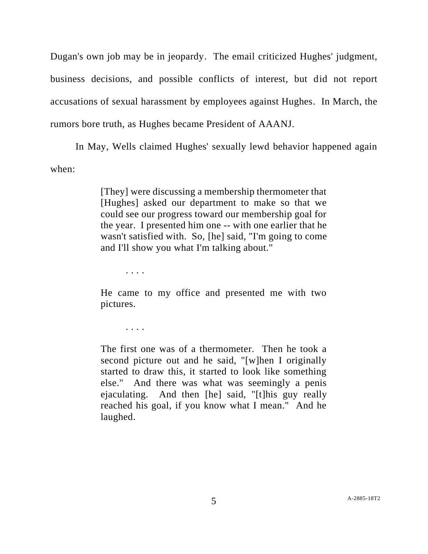Dugan's own job may be in jeopardy. The email criticized Hughes' judgment, business decisions, and possible conflicts of interest, but did not report accusations of sexual harassment by employees against Hughes. In March, the rumors bore truth, as Hughes became President of AAANJ.

In May, Wells claimed Hughes' sexually lewd behavior happened again when:

> [They] were discussing a membership thermometer that [Hughes] asked our department to make so that we could see our progress toward our membership goal for the year. I presented him one -- with one earlier that he wasn't satisfied with. So, [he] said, "I'm going to come and I'll show you what I'm talking about."

> > . . . .

He came to my office and presented me with two pictures.

. . . .

The first one was of a thermometer. Then he took a second picture out and he said, "[w]hen I originally started to draw this, it started to look like something else." And there was what was seemingly a penis ejaculating. And then [he] said, "[t]his guy really reached his goal, if you know what I mean." And he laughed.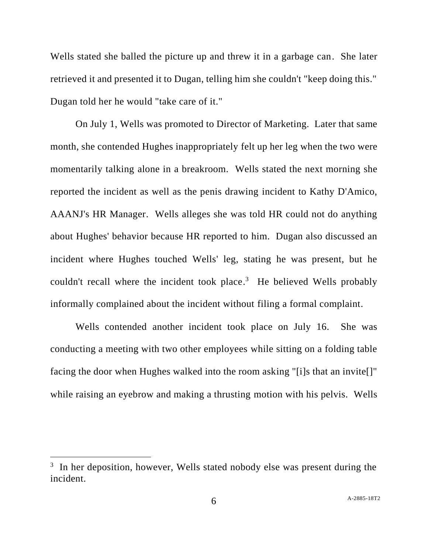Wells stated she balled the picture up and threw it in a garbage can. She later retrieved it and presented it to Dugan, telling him she couldn't "keep doing this." Dugan told her he would "take care of it."

On July 1, Wells was promoted to Director of Marketing. Later that same month, she contended Hughes inappropriately felt up her leg when the two were momentarily talking alone in a breakroom. Wells stated the next morning she reported the incident as well as the penis drawing incident to Kathy D'Amico, AAANJ's HR Manager. Wells alleges she was told HR could not do anything about Hughes' behavior because HR reported to him. Dugan also discussed an incident where Hughes touched Wells' leg, stating he was present, but he couldn't recall where the incident took place.<sup>3</sup> He believed Wells probably informally complained about the incident without filing a formal complaint.

Wells contended another incident took place on July 16. She was conducting a meeting with two other employees while sitting on a folding table facing the door when Hughes walked into the room asking "[i]s that an invite[]" while raising an eyebrow and making a thrusting motion with his pelvis. Wells

<sup>&</sup>lt;sup>3</sup> In her deposition, however, Wells stated nobody else was present during the incident.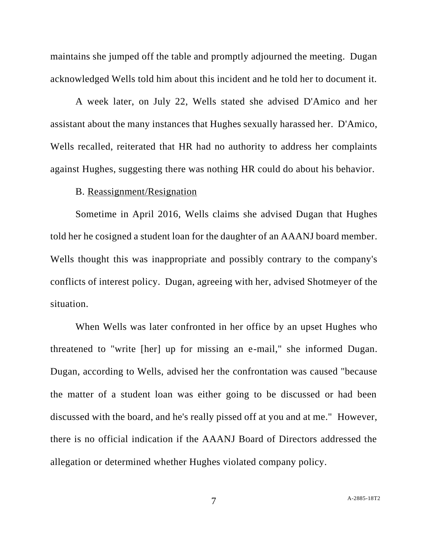maintains she jumped off the table and promptly adjourned the meeting. Dugan acknowledged Wells told him about this incident and he told her to document it.

A week later, on July 22, Wells stated she advised D'Amico and her assistant about the many instances that Hughes sexually harassed her. D'Amico, Wells recalled, reiterated that HR had no authority to address her complaints against Hughes, suggesting there was nothing HR could do about his behavior.

#### B. Reassignment/Resignation

Sometime in April 2016, Wells claims she advised Dugan that Hughes told her he cosigned a student loan for the daughter of an AAANJ board member. Wells thought this was inappropriate and possibly contrary to the company's conflicts of interest policy. Dugan, agreeing with her, advised Shotmeyer of the situation.

When Wells was later confronted in her office by an upset Hughes who threatened to "write [her] up for missing an e-mail," she informed Dugan. Dugan, according to Wells, advised her the confrontation was caused "because the matter of a student loan was either going to be discussed or had been discussed with the board, and he's really pissed off at you and at me." However, there is no official indication if the AAANJ Board of Directors addressed the allegation or determined whether Hughes violated company policy.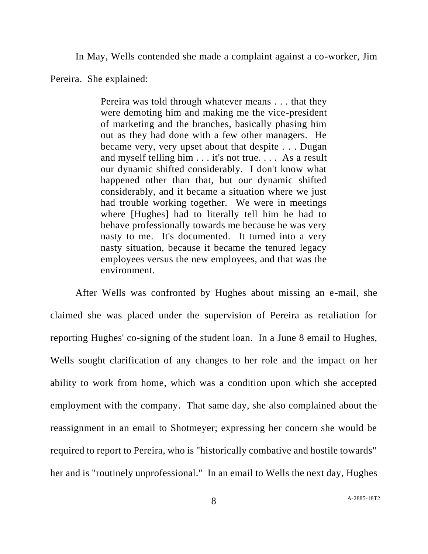In May, Wells contended she made a complaint against a co-worker, Jim

Pereira. She explained:

Pereira was told through whatever means . . . that they were demoting him and making me the vice-president of marketing and the branches, basically phasing him out as they had done with a few other managers. He became very, very upset about that despite . . . Dugan and myself telling him . . . it's not true. . . . As a result our dynamic shifted considerably. I don't know what happened other than that, but our dynamic shifted considerably, and it became a situation where we just had trouble working together. We were in meetings where [Hughes] had to literally tell him he had to behave professionally towards me because he was very nasty to me. It's documented. It turned into a very nasty situation, because it became the tenured legacy employees versus the new employees, and that was the environment.

After Wells was confronted by Hughes about missing an e-mail, she claimed she was placed under the supervision of Pereira as retaliation for reporting Hughes' co-signing of the student loan. In a June 8 email to Hughes, Wells sought clarification of any changes to her role and the impact on her ability to work from home, which was a condition upon which she accepted employment with the company. That same day, she also complained about the reassignment in an email to Shotmeyer; expressing her concern she would be required to report to Pereira, who is "historically combative and hostile towards" her and is "routinely unprofessional." In an email to Wells the next day, Hughes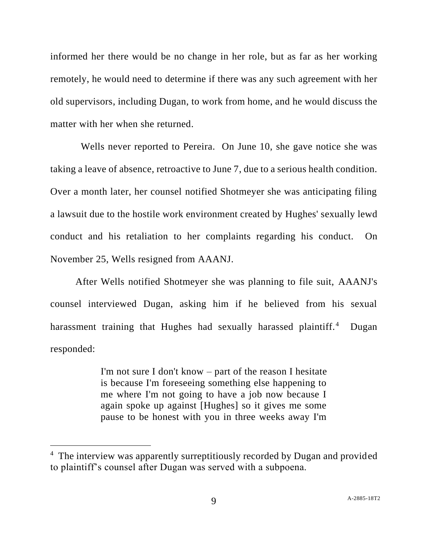informed her there would be no change in her role, but as far as her working remotely, he would need to determine if there was any such agreement with her old supervisors, including Dugan, to work from home, and he would discuss the matter with her when she returned.

Wells never reported to Pereira. On June 10, she gave notice she was taking a leave of absence, retroactive to June 7, due to a serious health condition. Over a month later, her counsel notified Shotmeyer she was anticipating filing a lawsuit due to the hostile work environment created by Hughes' sexually lewd conduct and his retaliation to her complaints regarding his conduct. On November 25, Wells resigned from AAANJ.

After Wells notified Shotmeyer she was planning to file suit, AAANJ's counsel interviewed Dugan, asking him if he believed from his sexual harassment training that Hughes had sexually harassed plaintiff.<sup>4</sup> Dugan responded:

> I'm not sure I don't know – part of the reason I hesitate is because I'm foreseeing something else happening to me where I'm not going to have a job now because I again spoke up against [Hughes] so it gives me some pause to be honest with you in three weeks away I'm

<sup>&</sup>lt;sup>4</sup> The interview was apparently surreptitiously recorded by Dugan and provided to plaintiff's counsel after Dugan was served with a subpoena.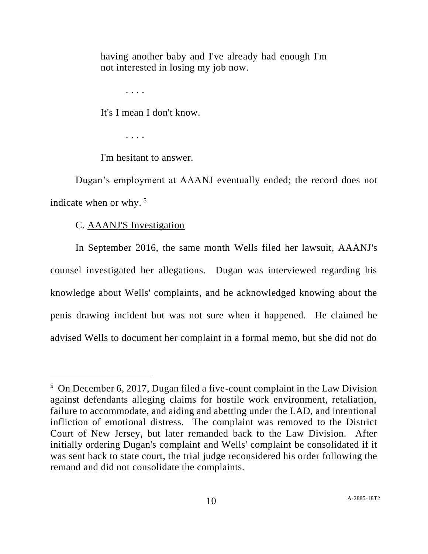having another baby and I've already had enough I'm not interested in losing my job now.

. . . .

It's I mean I don't know.

. . . .

I'm hesitant to answer.

Dugan's employment at AAANJ eventually ended; the record does not indicate when or why.  $5$ 

# C. AAANJ'S Investigation

In September 2016, the same month Wells filed her lawsuit, AAANJ's counsel investigated her allegations. Dugan was interviewed regarding his knowledge about Wells' complaints, and he acknowledged knowing about the penis drawing incident but was not sure when it happened. He claimed he advised Wells to document her complaint in a formal memo, but she did not do

<sup>&</sup>lt;sup>5</sup> On December 6, 2017, Dugan filed a five-count complaint in the Law Division against defendants alleging claims for hostile work environment, retaliation, failure to accommodate, and aiding and abetting under the LAD, and intentional infliction of emotional distress. The complaint was removed to the District Court of New Jersey, but later remanded back to the Law Division. After initially ordering Dugan's complaint and Wells' complaint be consolidated if it was sent back to state court, the trial judge reconsidered his order following the remand and did not consolidate the complaints.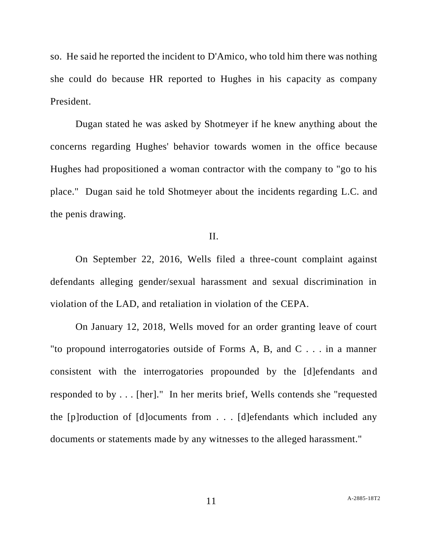so. He said he reported the incident to D'Amico, who told him there was nothing she could do because HR reported to Hughes in his capacity as company President.

Dugan stated he was asked by Shotmeyer if he knew anything about the concerns regarding Hughes' behavior towards women in the office because Hughes had propositioned a woman contractor with the company to "go to his place." Dugan said he told Shotmeyer about the incidents regarding L.C. and the penis drawing.

## II.

On September 22, 2016, Wells filed a three-count complaint against defendants alleging gender/sexual harassment and sexual discrimination in violation of the LAD, and retaliation in violation of the CEPA.

On January 12, 2018, Wells moved for an order granting leave of court "to propound interrogatories outside of Forms A, B, and C . . . in a manner consistent with the interrogatories propounded by the [d]efendants and responded to by . . . [her]." In her merits brief, Wells contends she "requested the [p]roduction of [d]ocuments from . . . [d]efendants which included any documents or statements made by any witnesses to the alleged harassment."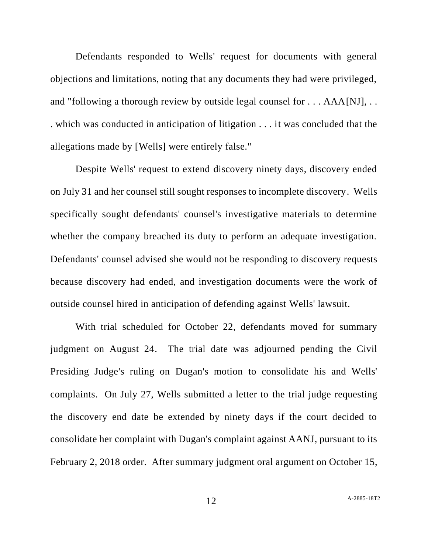Defendants responded to Wells' request for documents with general objections and limitations, noting that any documents they had were privileged, and "following a thorough review by outside legal counsel for . . . AAA[NJ], . . . which was conducted in anticipation of litigation . . . it was concluded that the allegations made by [Wells] were entirely false."

Despite Wells' request to extend discovery ninety days, discovery ended on July 31 and her counsel still sought responses to incomplete discovery. Wells specifically sought defendants' counsel's investigative materials to determine whether the company breached its duty to perform an adequate investigation. Defendants' counsel advised she would not be responding to discovery requests because discovery had ended, and investigation documents were the work of outside counsel hired in anticipation of defending against Wells' lawsuit.

With trial scheduled for October 22, defendants moved for summary judgment on August 24. The trial date was adjourned pending the Civil Presiding Judge's ruling on Dugan's motion to consolidate his and Wells' complaints. On July 27, Wells submitted a letter to the trial judge requesting the discovery end date be extended by ninety days if the court decided to consolidate her complaint with Dugan's complaint against AANJ, pursuant to its February 2, 2018 order. After summary judgment oral argument on October 15,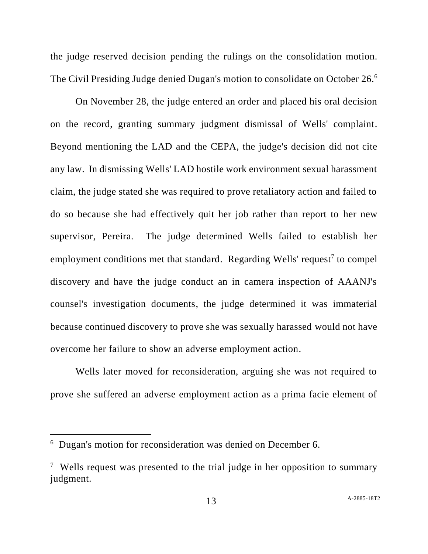the judge reserved decision pending the rulings on the consolidation motion. The Civil Presiding Judge denied Dugan's motion to consolidate on October 26.<sup>6</sup>

On November 28, the judge entered an order and placed his oral decision on the record, granting summary judgment dismissal of Wells' complaint. Beyond mentioning the LAD and the CEPA, the judge's decision did not cite any law. In dismissing Wells' LAD hostile work environment sexual harassment claim, the judge stated she was required to prove retaliatory action and failed to do so because she had effectively quit her job rather than report to her new supervisor, Pereira. The judge determined Wells failed to establish her employment conditions met that standard. Regarding Wells' request<sup>7</sup> to compel discovery and have the judge conduct an in camera inspection of AAANJ's counsel's investigation documents, the judge determined it was immaterial because continued discovery to prove she was sexually harassed would not have overcome her failure to show an adverse employment action.

Wells later moved for reconsideration, arguing she was not required to prove she suffered an adverse employment action as a prima facie element of

<sup>&</sup>lt;sup>6</sup> Dugan's motion for reconsideration was denied on December 6.

<sup>&</sup>lt;sup>7</sup> Wells request was presented to the trial judge in her opposition to summary judgment.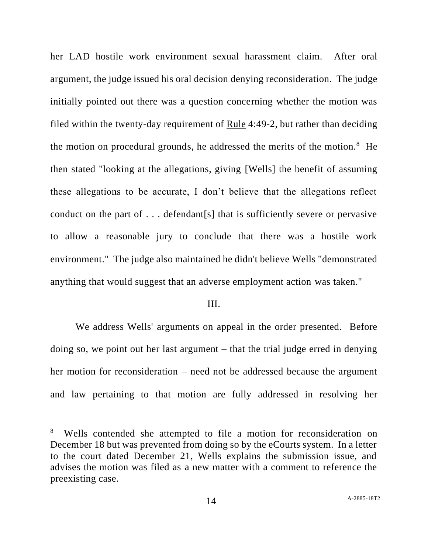her LAD hostile work environment sexual harassment claim. After oral argument, the judge issued his oral decision denying reconsideration. The judge initially pointed out there was a question concerning whether the motion was filed within the twenty-day requirement of Rule 4:49-2, but rather than deciding the motion on procedural grounds, he addressed the merits of the motion.<sup>8</sup> He then stated "looking at the allegations, giving [Wells] the benefit of assuming these allegations to be accurate, I don't believe that the allegations reflect conduct on the part of . . . defendant[s] that is sufficiently severe or pervasive to allow a reasonable jury to conclude that there was a hostile work environment." The judge also maintained he didn't believe Wells "demonstrated anything that would suggest that an adverse employment action was taken."

#### III.

We address Wells' arguments on appeal in the order presented. Before doing so, we point out her last argument – that the trial judge erred in denying her motion for reconsideration – need not be addressed because the argument and law pertaining to that motion are fully addressed in resolving her

<sup>&</sup>lt;sup>8</sup> Wells contended she attempted to file a motion for reconsideration on December 18 but was prevented from doing so by the eCourts system. In a letter to the court dated December 21, Wells explains the submission issue, and advises the motion was filed as a new matter with a comment to reference the preexisting case.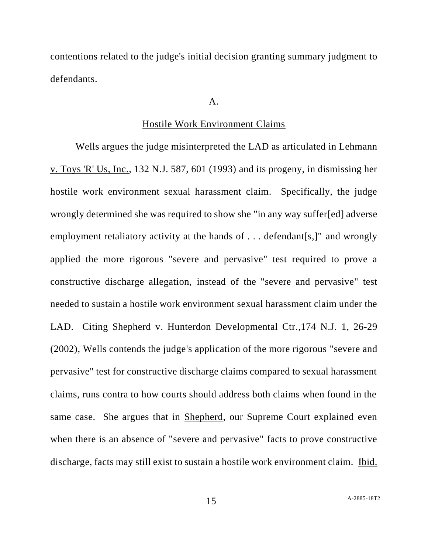contentions related to the judge's initial decision granting summary judgment to defendants.

#### $A<sub>1</sub>$

#### Hostile Work Environment Claims

Wells argues the judge misinterpreted the LAD as articulated in Lehmann v. Toys 'R' Us, Inc., 132 N.J. 587, 601 (1993) and its progeny, in dismissing her hostile work environment sexual harassment claim. Specifically, the judge wrongly determined she was required to show she "in any way suffer[ed] adverse employment retaliatory activity at the hands of . . . defendant[s,]" and wrongly applied the more rigorous "severe and pervasive" test required to prove a constructive discharge allegation, instead of the "severe and pervasive" test needed to sustain a hostile work environment sexual harassment claim under the LAD. Citing Shepherd v. Hunterdon Developmental Ctr.,174 N.J. 1, 26-29 (2002), Wells contends the judge's application of the more rigorous "severe and pervasive" test for constructive discharge claims compared to sexual harassment claims, runs contra to how courts should address both claims when found in the same case. She argues that in Shepherd, our Supreme Court explained even when there is an absence of "severe and pervasive" facts to prove constructive discharge, facts may still exist to sustain a hostile work environment claim. Ibid.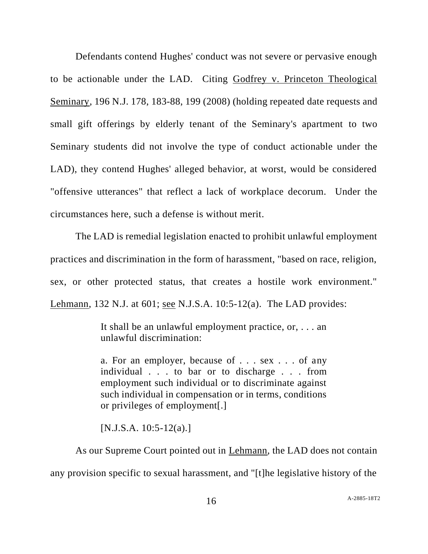Defendants contend Hughes' conduct was not severe or pervasive enough to be actionable under the LAD. Citing Godfrey v. Princeton Theological Seminary, 196 N.J. 178, 183-88, 199 (2008) (holding repeated date requests and small gift offerings by elderly tenant of the Seminary's apartment to two Seminary students did not involve the type of conduct actionable under the LAD), they contend Hughes' alleged behavior, at worst, would be considered "offensive utterances" that reflect a lack of workplace decorum. Under the circumstances here, such a defense is without merit.

The LAD is remedial legislation enacted to prohibit unlawful employment practices and discrimination in the form of harassment, "based on race, religion, sex, or other protected status, that creates a hostile work environment." Lehmann, 132 N.J. at 601; see N.J.S.A. 10:5-12(a). The LAD provides:

> It shall be an unlawful employment practice, or, . . . an unlawful discrimination:

> a. For an employer, because of . . . sex . . . of any individual . . . to bar or to discharge . . . from employment such individual or to discriminate against such individual in compensation or in terms, conditions or privileges of employment[.]

[N.J.S.A. 10:5-12(a).]

As our Supreme Court pointed out in Lehmann, the LAD does not contain any provision specific to sexual harassment, and "[t]he legislative history of the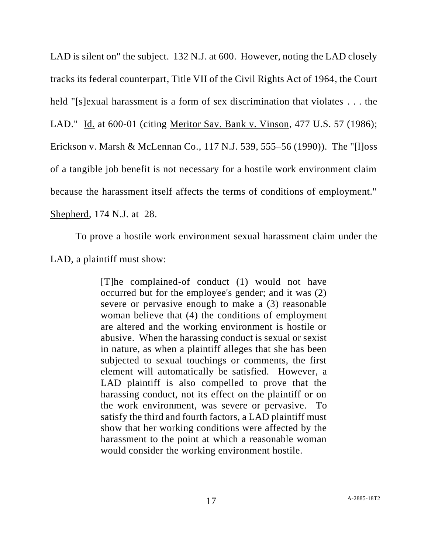LAD is silent on" the subject. 132 N.J. at 600. However, noting the LAD closely tracks its federal counterpart, Title VII of the Civil Rights Act of 1964, the Court held "[s]exual harassment is a form of sex discrimination that violates . . . the LAD." Id. at 600-01 (citing Meritor Sav. Bank v. Vinson, 477 U.S. 57 (1986); Erickson v. Marsh & McLennan Co., 117 N.J. 539, 555–56 (1990)). The "[l]oss of a tangible job benefit is not necessary for a hostile work environment claim because the harassment itself affects the terms of conditions of employment." Shepherd, 174 N.J. at 28.

To prove a hostile work environment sexual harassment claim under the LAD, a plaintiff must show:

> [T]he complained-of conduct (1) would not have occurred but for the employee's gender; and it was (2) severe or pervasive enough to make a (3) reasonable woman believe that (4) the conditions of employment are altered and the working environment is hostile or abusive. When the harassing conduct is sexual or sexist in nature, as when a plaintiff alleges that she has been subjected to sexual touchings or comments, the first element will automatically be satisfied. However, a LAD plaintiff is also compelled to prove that the harassing conduct, not its effect on the plaintiff or on the work environment, was severe or pervasive. To satisfy the third and fourth factors, a LAD plaintiff must show that her working conditions were affected by the harassment to the point at which a reasonable woman would consider the working environment hostile.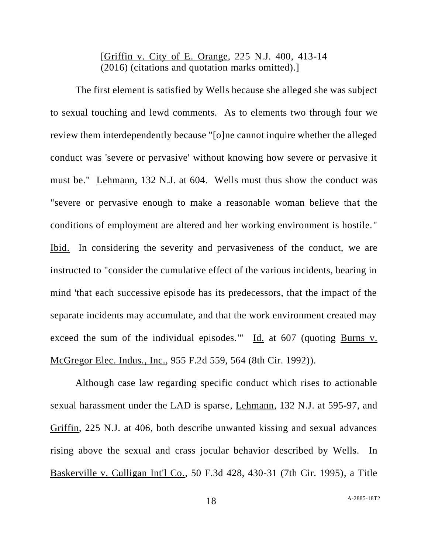# [Griffin v. City of E. Orange, 225 N.J. 400, 413-14 (2016) (citations and quotation marks omitted).]

The first element is satisfied by Wells because she alleged she was subject to sexual touching and lewd comments. As to elements two through four we review them interdependently because "[o]ne cannot inquire whether the alleged conduct was 'severe or pervasive' without knowing how severe or pervasive it must be." Lehmann, 132 N.J. at 604. Wells must thus show the conduct was "severe or pervasive enough to make a reasonable woman believe that the conditions of employment are altered and her working environment is hostile." Ibid. In considering the severity and pervasiveness of the conduct, we are instructed to "consider the cumulative effect of the various incidents, bearing in mind 'that each successive episode has its predecessors, that the impact of the separate incidents may accumulate, and that the work environment created may exceed the sum of the individual episodes.'" Id. at 607 (quoting Burns v. McGregor Elec. Indus., Inc., 955 F.2d 559, 564 (8th Cir. 1992)).

Although case law regarding specific conduct which rises to actionable sexual harassment under the LAD is sparse, Lehmann, 132 N.J. at 595-97, and Griffin, 225 N.J. at 406, both describe unwanted kissing and sexual advances rising above the sexual and crass jocular behavior described by Wells. In Baskerville v. Culligan Int'l Co., 50 F.3d 428, 430-31 (7th Cir. 1995), a Title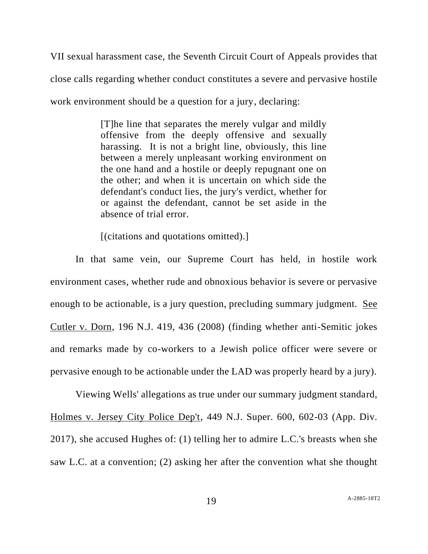VII sexual harassment case, the Seventh Circuit Court of Appeals provides that close calls regarding whether conduct constitutes a severe and pervasive hostile work environment should be a question for a jury, declaring:

> [T]he line that separates the merely vulgar and mildly offensive from the deeply offensive and sexually harassing. It is not a bright line, obviously, this line between a merely unpleasant working environment on the one hand and a hostile or deeply repugnant one on the other; and when it is uncertain on which side the defendant's conduct lies, the jury's verdict, whether for or against the defendant, cannot be set aside in the absence of trial error.

[(citations and quotations omitted).]

In that same vein, our Supreme Court has held, in hostile work environment cases, whether rude and obnoxious behavior is severe or pervasive enough to be actionable, is a jury question, precluding summary judgment. See Cutler v. Dorn, 196 N.J. 419, 436 (2008) (finding whether anti-Semitic jokes and remarks made by co-workers to a Jewish police officer were severe or pervasive enough to be actionable under the LAD was properly heard by a jury).

Viewing Wells' allegations as true under our summary judgment standard, Holmes v. Jersey City Police Dep't, 449 N.J. Super. 600, 602-03 (App. Div. 2017), she accused Hughes of: (1) telling her to admire L.C.'s breasts when she saw L.C. at a convention; (2) asking her after the convention what she thought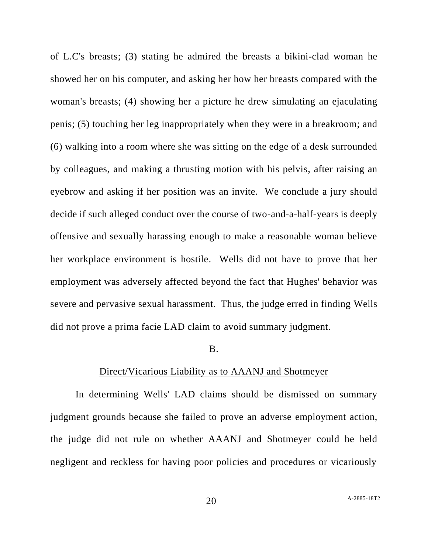of L.C's breasts; (3) stating he admired the breasts a bikini-clad woman he showed her on his computer, and asking her how her breasts compared with the woman's breasts; (4) showing her a picture he drew simulating an ejaculating penis; (5) touching her leg inappropriately when they were in a breakroom; and (6) walking into a room where she was sitting on the edge of a desk surrounded by colleagues, and making a thrusting motion with his pelvis, after raising an eyebrow and asking if her position was an invite. We conclude a jury should decide if such alleged conduct over the course of two-and-a-half-years is deeply offensive and sexually harassing enough to make a reasonable woman believe her workplace environment is hostile. Wells did not have to prove that her employment was adversely affected beyond the fact that Hughes' behavior was severe and pervasive sexual harassment. Thus, the judge erred in finding Wells did not prove a prima facie LAD claim to avoid summary judgment.

#### B.

#### Direct/Vicarious Liability as to AAANJ and Shotmeyer

In determining Wells' LAD claims should be dismissed on summary judgment grounds because she failed to prove an adverse employment action, the judge did not rule on whether AAANJ and Shotmeyer could be held negligent and reckless for having poor policies and procedures or vicariously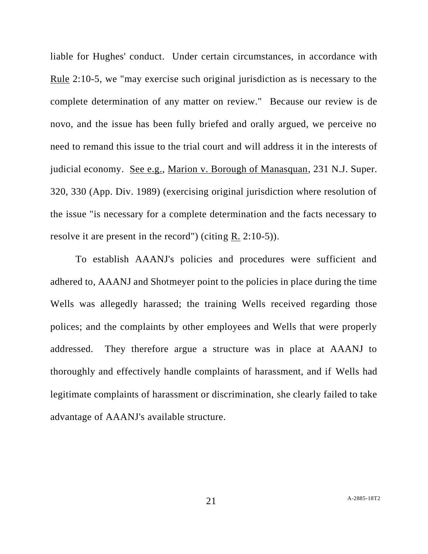liable for Hughes' conduct. Under certain circumstances, in accordance with Rule 2:10-5, we "may exercise such original jurisdiction as is necessary to the complete determination of any matter on review." Because our review is de novo, and the issue has been fully briefed and orally argued, we perceive no need to remand this issue to the trial court and will address it in the interests of judicial economy. See e.g., Marion v. Borough of Manasquan, 231 N.J. Super. 320, 330 (App. Div. 1989) (exercising original jurisdiction where resolution of the issue "is necessary for a complete determination and the facts necessary to resolve it are present in the record") (citing R. 2:10-5)).

To establish AAANJ's policies and procedures were sufficient and adhered to, AAANJ and Shotmeyer point to the policies in place during the time Wells was allegedly harassed; the training Wells received regarding those polices; and the complaints by other employees and Wells that were properly addressed. They therefore argue a structure was in place at AAANJ to thoroughly and effectively handle complaints of harassment, and if Wells had legitimate complaints of harassment or discrimination, she clearly failed to take advantage of AAANJ's available structure.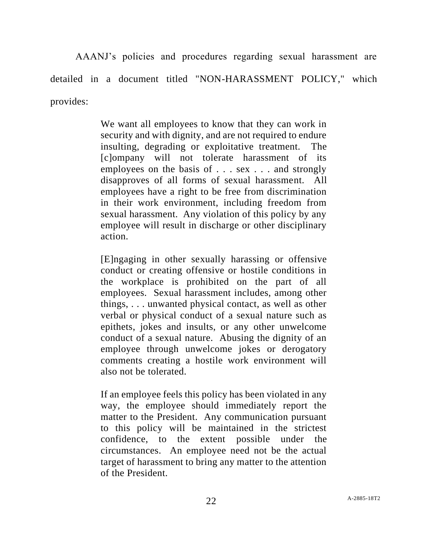AAANJ's policies and procedures regarding sexual harassment are detailed in a document titled "NON-HARASSMENT POLICY," which provides:

> We want all employees to know that they can work in security and with dignity, and are not required to endure insulting, degrading or exploitative treatment. The [c]ompany will not tolerate harassment of its employees on the basis of . . . sex . . . and strongly disapproves of all forms of sexual harassment. All employees have a right to be free from discrimination in their work environment, including freedom from sexual harassment. Any violation of this policy by any employee will result in discharge or other disciplinary action.

> [E]ngaging in other sexually harassing or offensive conduct or creating offensive or hostile conditions in the workplace is prohibited on the part of all employees. Sexual harassment includes, among other things, . . . unwanted physical contact, as well as other verbal or physical conduct of a sexual nature such as epithets, jokes and insults, or any other unwelcome conduct of a sexual nature. Abusing the dignity of an employee through unwelcome jokes or derogatory comments creating a hostile work environment will also not be tolerated.

> If an employee feels this policy has been violated in any way, the employee should immediately report the matter to the President. Any communication pursuant to this policy will be maintained in the strictest confidence, to the extent possible under the circumstances. An employee need not be the actual target of harassment to bring any matter to the attention of the President.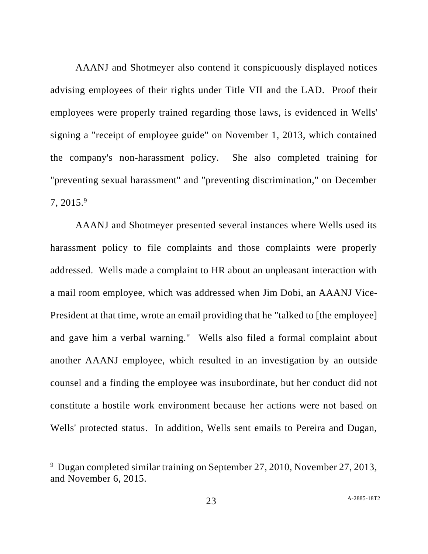AAANJ and Shotmeyer also contend it conspicuously displayed notices advising employees of their rights under Title VII and the LAD. Proof their employees were properly trained regarding those laws, is evidenced in Wells' signing a "receipt of employee guide" on November 1, 2013, which contained the company's non-harassment policy. She also completed training for "preventing sexual harassment" and "preventing discrimination," on December  $7, 2015.<sup>9</sup>$ 

AAANJ and Shotmeyer presented several instances where Wells used its harassment policy to file complaints and those complaints were properly addressed. Wells made a complaint to HR about an unpleasant interaction with a mail room employee, which was addressed when Jim Dobi, an AAANJ Vice-President at that time, wrote an email providing that he "talked to [the employee] and gave him a verbal warning." Wells also filed a formal complaint about another AAANJ employee, which resulted in an investigation by an outside counsel and a finding the employee was insubordinate, but her conduct did not constitute a hostile work environment because her actions were not based on Wells' protected status. In addition, Wells sent emails to Pereira and Dugan,

<sup>&</sup>lt;sup>9</sup> Dugan completed similar training on September 27, 2010, November 27, 2013, and November 6, 2015.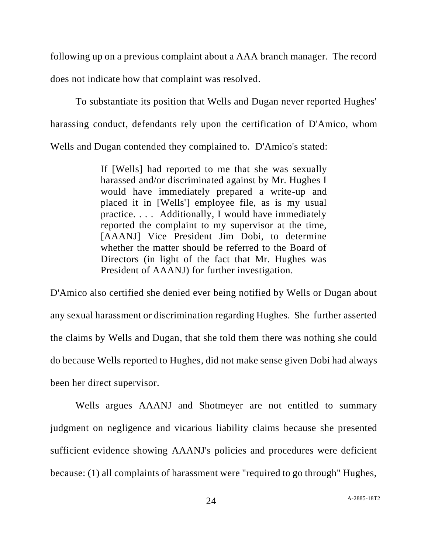following up on a previous complaint about a AAA branch manager. The record does not indicate how that complaint was resolved.

To substantiate its position that Wells and Dugan never reported Hughes' harassing conduct, defendants rely upon the certification of D'Amico, whom Wells and Dugan contended they complained to. D'Amico's stated:

> If [Wells] had reported to me that she was sexually harassed and/or discriminated against by Mr. Hughes I would have immediately prepared a write-up and placed it in [Wells'] employee file, as is my usual practice. . . . Additionally, I would have immediately reported the complaint to my supervisor at the time, [AAANJ] Vice President Jim Dobi, to determine whether the matter should be referred to the Board of Directors (in light of the fact that Mr. Hughes was President of AAANJ) for further investigation.

D'Amico also certified she denied ever being notified by Wells or Dugan about any sexual harassment or discrimination regarding Hughes. She further asserted the claims by Wells and Dugan, that she told them there was nothing she could do because Wells reported to Hughes, did not make sense given Dobi had always been her direct supervisor.

Wells argues AAANJ and Shotmeyer are not entitled to summary judgment on negligence and vicarious liability claims because she presented sufficient evidence showing AAANJ's policies and procedures were deficient because: (1) all complaints of harassment were "required to go through" Hughes,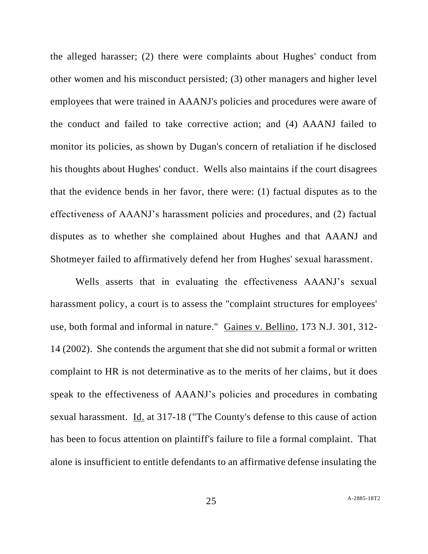the alleged harasser; (2) there were complaints about Hughes' conduct from other women and his misconduct persisted; (3) other managers and higher level employees that were trained in AAANJ's policies and procedures were aware of the conduct and failed to take corrective action; and (4) AAANJ failed to monitor its policies, as shown by Dugan's concern of retaliation if he disclosed his thoughts about Hughes' conduct. Wells also maintains if the court disagrees that the evidence bends in her favor, there were: (1) factual disputes as to the effectiveness of AAANJ's harassment policies and procedures, and (2) factual disputes as to whether she complained about Hughes and that AAANJ and Shotmeyer failed to affirmatively defend her from Hughes' sexual harassment.

Wells asserts that in evaluating the effectiveness AAANJ's sexual harassment policy, a court is to assess the "complaint structures for employees' use, both formal and informal in nature." Gaines v. Bellino, 173 N.J. 301, 312- 14 (2002). She contends the argument that she did not submit a formal or written complaint to HR is not determinative as to the merits of her claims, but it does speak to the effectiveness of AAANJ's policies and procedures in combating sexual harassment. Id. at 317-18 ("The County's defense to this cause of action has been to focus attention on plaintiff's failure to file a formal complaint. That alone is insufficient to entitle defendants to an affirmative defense insulating the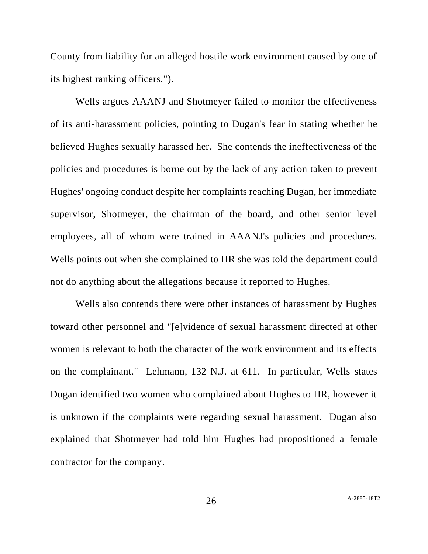County from liability for an alleged hostile work environment caused by one of its highest ranking officers.").

Wells argues AAANJ and Shotmeyer failed to monitor the effectiveness of its anti-harassment policies, pointing to Dugan's fear in stating whether he believed Hughes sexually harassed her. She contends the ineffectiveness of the policies and procedures is borne out by the lack of any action taken to prevent Hughes' ongoing conduct despite her complaints reaching Dugan, her immediate supervisor, Shotmeyer, the chairman of the board, and other senior level employees, all of whom were trained in AAANJ's policies and procedures. Wells points out when she complained to HR she was told the department could not do anything about the allegations because it reported to Hughes.

Wells also contends there were other instances of harassment by Hughes toward other personnel and "[e]vidence of sexual harassment directed at other women is relevant to both the character of the work environment and its effects on the complainant." Lehmann, 132 N.J. at 611. In particular, Wells states Dugan identified two women who complained about Hughes to HR, however it is unknown if the complaints were regarding sexual harassment. Dugan also explained that Shotmeyer had told him Hughes had propositioned a female contractor for the company.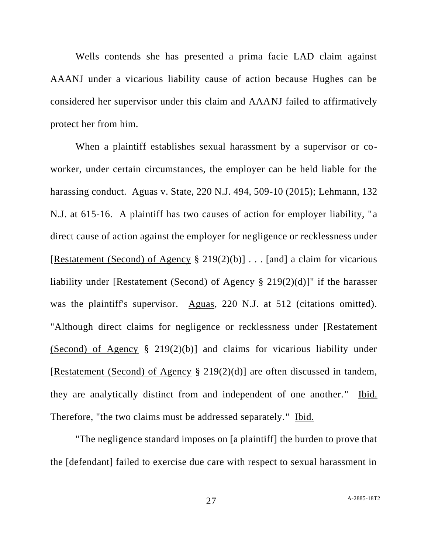Wells contends she has presented a prima facie LAD claim against AAANJ under a vicarious liability cause of action because Hughes can be considered her supervisor under this claim and AAANJ failed to affirmatively protect her from him.

When a plaintiff establishes sexual harassment by a supervisor or coworker, under certain circumstances, the employer can be held liable for the harassing conduct. Aguas v. State, 220 N.J. 494, 509-10 (2015); Lehmann, 132 N.J. at 615-16. A plaintiff has two causes of action for employer liability, "a direct cause of action against the employer for negligence or recklessness under [Restatement (Second) of Agency § 219(2)(b)] . . . [and] a claim for vicarious liability under [Restatement (Second) of Agency § 219(2)(d)]" if the harasser was the plaintiff's supervisor. Aguas, 220 N.J. at 512 (citations omitted). "Although direct claims for negligence or recklessness under [Restatement (Second) of Agency § 219(2)(b)] and claims for vicarious liability under [Restatement (Second) of Agency § 219(2)(d)] are often discussed in tandem, they are analytically distinct from and independent of one another." Ibid. Therefore, "the two claims must be addressed separately." Ibid.

"The negligence standard imposes on [a plaintiff] the burden to prove that the [defendant] failed to exercise due care with respect to sexual harassment in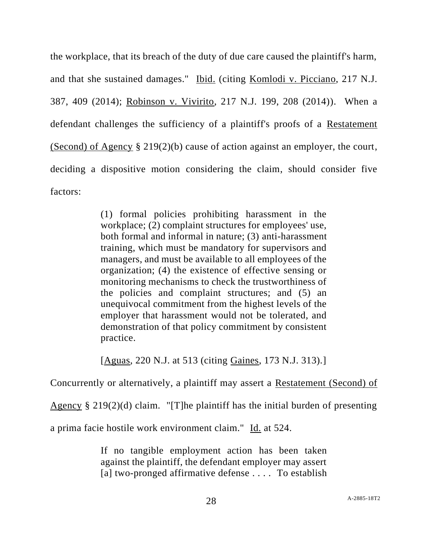the workplace, that its breach of the duty of due care caused the plaintiff's harm, and that she sustained damages." Ibid. (citing Komlodi v. Picciano, 217 N.J. 387, 409 (2014); Robinson v. Vivirito, 217 N.J. 199, 208 (2014)). When a defendant challenges the sufficiency of a plaintiff's proofs of a Restatement (Second) of Agency § 219(2)(b) cause of action against an employer, the court, deciding a dispositive motion considering the claim, should consider five factors:

> (1) formal policies prohibiting harassment in the workplace; (2) complaint structures for employees' use, both formal and informal in nature; (3) anti-harassment training, which must be mandatory for supervisors and managers, and must be available to all employees of the organization; (4) the existence of effective sensing or monitoring mechanisms to check the trustworthiness of the policies and complaint structures; and (5) an unequivocal commitment from the highest levels of the employer that harassment would not be tolerated, and demonstration of that policy commitment by consistent practice.

> [Aguas, 220 N.J. at 513 (citing Gaines, 173 N.J. 313).]

Concurrently or alternatively, a plaintiff may assert a Restatement (Second) of

Agency § 219(2)(d) claim. "[T]he plaintiff has the initial burden of presenting

a prima facie hostile work environment claim." Id. at 524.

If no tangible employment action has been taken against the plaintiff, the defendant employer may assert [a] two-pronged affirmative defense .... To establish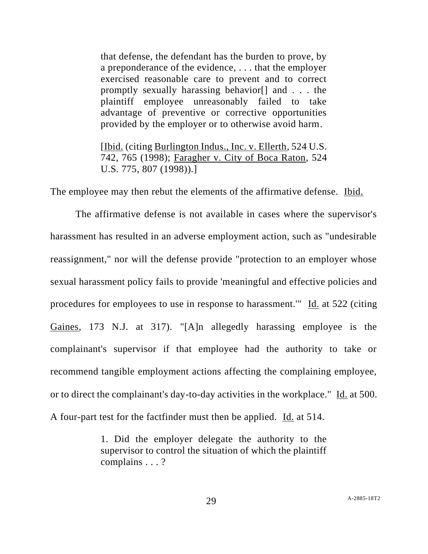that defense, the defendant has the burden to prove, by a preponderance of the evidence, . . . that the employer exercised reasonable care to prevent and to correct promptly sexually harassing behavior[] and . . . the plaintiff employee unreasonably failed to take advantage of preventive or corrective opportunities provided by the employer or to otherwise avoid harm.

[Ibid. (citing Burlington Indus., Inc. v. Ellerth, 524 U.S. 742, 765 (1998); Faragher v. City of Boca Raton, 524 U.S. 775, 807 (1998)).]

The employee may then rebut the elements of the affirmative defense. Ibid.

The affirmative defense is not available in cases where the supervisor's harassment has resulted in an adverse employment action, such as "undesirable reassignment," nor will the defense provide "protection to an employer whose sexual harassment policy fails to provide 'meaningful and effective policies and procedures for employees to use in response to harassment.'" Id. at 522 (citing Gaines, 173 N.J. at 317). "[A]n allegedly harassing employee is the complainant's supervisor if that employee had the authority to take or recommend tangible employment actions affecting the complaining employee, or to direct the complainant's day-to-day activities in the workplace." Id. at 500. A four-part test for the factfinder must then be applied. Id. at 514.

> 1. Did the employer delegate the authority to the supervisor to control the situation of which the plaintiff complains . . . ?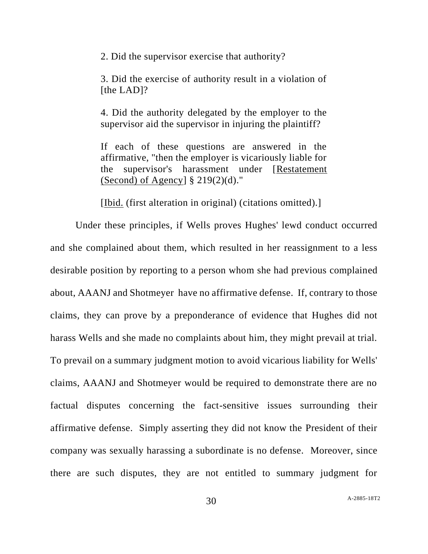2. Did the supervisor exercise that authority?

3. Did the exercise of authority result in a violation of [the LAD]?

4. Did the authority delegated by the employer to the supervisor aid the supervisor in injuring the plaintiff?

If each of these questions are answered in the affirmative, "then the employer is vicariously liable for the supervisor's harassment under [Restatement (Second) of Agency]  $\S 219(2)(d)$ ."

[Ibid. (first alteration in original) (citations omitted).]

Under these principles, if Wells proves Hughes' lewd conduct occurred and she complained about them, which resulted in her reassignment to a less desirable position by reporting to a person whom she had previous complained about, AAANJ and Shotmeyer have no affirmative defense. If, contrary to those claims, they can prove by a preponderance of evidence that Hughes did not harass Wells and she made no complaints about him, they might prevail at trial. To prevail on a summary judgment motion to avoid vicarious liability for Wells' claims, AAANJ and Shotmeyer would be required to demonstrate there are no factual disputes concerning the fact-sensitive issues surrounding their affirmative defense. Simply asserting they did not know the President of their company was sexually harassing a subordinate is no defense. Moreover, since there are such disputes, they are not entitled to summary judgment for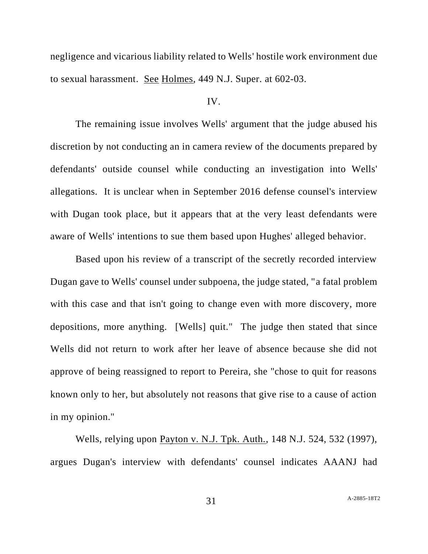negligence and vicarious liability related to Wells' hostile work environment due to sexual harassment. See Holmes, 449 N.J. Super. at 602-03.

## IV.

The remaining issue involves Wells' argument that the judge abused his discretion by not conducting an in camera review of the documents prepared by defendants' outside counsel while conducting an investigation into Wells' allegations. It is unclear when in September 2016 defense counsel's interview with Dugan took place, but it appears that at the very least defendants were aware of Wells' intentions to sue them based upon Hughes' alleged behavior.

Based upon his review of a transcript of the secretly recorded interview Dugan gave to Wells' counsel under subpoena, the judge stated, "a fatal problem with this case and that isn't going to change even with more discovery, more depositions, more anything. [Wells] quit." The judge then stated that since Wells did not return to work after her leave of absence because she did not approve of being reassigned to report to Pereira, she "chose to quit for reasons known only to her, but absolutely not reasons that give rise to a cause of action in my opinion."

Wells, relying upon Payton v. N.J. Tpk. Auth., 148 N.J. 524, 532 (1997), argues Dugan's interview with defendants' counsel indicates AAANJ had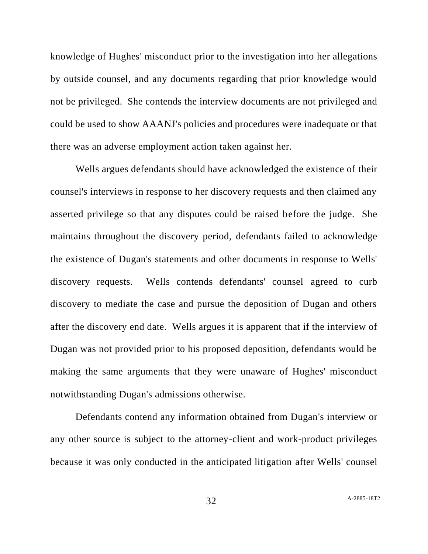knowledge of Hughes' misconduct prior to the investigation into her allegations by outside counsel, and any documents regarding that prior knowledge would not be privileged. She contends the interview documents are not privileged and could be used to show AAANJ's policies and procedures were inadequate or that there was an adverse employment action taken against her.

Wells argues defendants should have acknowledged the existence of their counsel's interviews in response to her discovery requests and then claimed any asserted privilege so that any disputes could be raised before the judge. She maintains throughout the discovery period, defendants failed to acknowledge the existence of Dugan's statements and other documents in response to Wells' discovery requests. Wells contends defendants' counsel agreed to curb discovery to mediate the case and pursue the deposition of Dugan and others after the discovery end date. Wells argues it is apparent that if the interview of Dugan was not provided prior to his proposed deposition, defendants would be making the same arguments that they were unaware of Hughes' misconduct notwithstanding Dugan's admissions otherwise.

Defendants contend any information obtained from Dugan's interview or any other source is subject to the attorney-client and work-product privileges because it was only conducted in the anticipated litigation after Wells' counsel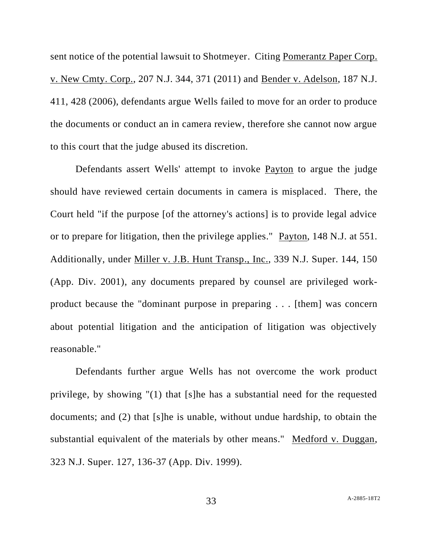sent notice of the potential lawsuit to Shotmeyer. Citing Pomerantz Paper Corp. v. New Cmty. Corp., 207 N.J. 344, 371 (2011) and Bender v. Adelson, 187 N.J. 411, 428 (2006), defendants argue Wells failed to move for an order to produce the documents or conduct an in camera review, therefore she cannot now argue to this court that the judge abused its discretion.

Defendants assert Wells' attempt to invoke Payton to argue the judge should have reviewed certain documents in camera is misplaced. There, the Court held "if the purpose [of the attorney's actions] is to provide legal advice or to prepare for litigation, then the privilege applies." Payton, 148 N.J. at 551. Additionally, under Miller v. J.B. Hunt Transp., Inc., 339 N.J. Super. 144, 150 (App. Div. 2001), any documents prepared by counsel are privileged workproduct because the "dominant purpose in preparing . . . [them] was concern about potential litigation and the anticipation of litigation was objectively reasonable."

Defendants further argue Wells has not overcome the work product privilege, by showing "(1) that [s]he has a substantial need for the requested documents; and (2) that [s]he is unable, without undue hardship, to obtain the substantial equivalent of the materials by other means." Medford v. Duggan, 323 N.J. Super. 127, 136-37 (App. Div. 1999).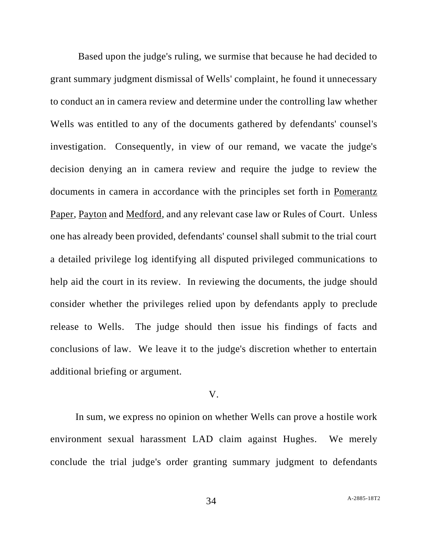Based upon the judge's ruling, we surmise that because he had decided to grant summary judgment dismissal of Wells' complaint, he found it unnecessary to conduct an in camera review and determine under the controlling law whether Wells was entitled to any of the documents gathered by defendants' counsel's investigation. Consequently, in view of our remand, we vacate the judge's decision denying an in camera review and require the judge to review the documents in camera in accordance with the principles set forth in Pomerantz Paper, Payton and Medford, and any relevant case law or Rules of Court. Unless one has already been provided, defendants' counsel shall submit to the trial court a detailed privilege log identifying all disputed privileged communications to help aid the court in its review. In reviewing the documents, the judge should consider whether the privileges relied upon by defendants apply to preclude release to Wells. The judge should then issue his findings of facts and conclusions of law. We leave it to the judge's discretion whether to entertain additional briefing or argument.

#### V.

In sum, we express no opinion on whether Wells can prove a hostile work environment sexual harassment LAD claim against Hughes. We merely conclude the trial judge's order granting summary judgment to defendants